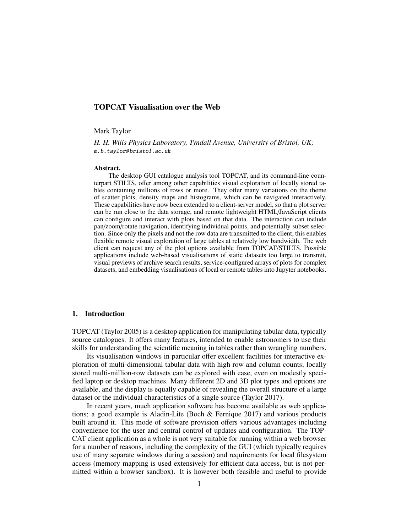# TOPCAT Visualisation over the Web

#### Mark Taylor

*H. H. Wills Physics Laboratory, Tyndall Avenue, University of Bristol, UK;* m.b.taylor@ bristol.ac.uk

#### Abstract.

The desktop GUI catalogue analysis tool TOPCAT, and its command-line counterpart STILTS, offer among other capabilities visual exploration of locally stored tables containing millions of rows or more. They offer many variations on the theme of scatter plots, density maps and histograms, which can be navigated interactively. These capabilities have now been extended to a client-server model, so that a plot server can be run close to the data storage, and remote lightweight HTML/JavaScript clients can configure and interact with plots based on that data. The interaction can include pan/zoom/rotate navigation, identifying individual points, and potentially subset selection. Since only the pixels and not the row data are transmitted to the client, this enables flexible remote visual exploration of large tables at relatively low bandwidth. The web client can request any of the plot options available from TOPCAT/STILTS. Possible applications include web-based visualisations of static datasets too large to transmit, visual previews of archive search results, service-configured arrays of plots for complex datasets, and embedding visualisations of local or remote tables into Jupyter notebooks.

### 1. Introduction

TOPCAT (Taylor 2005) is a desktop application for manipulating tabular data, typically source catalogues. It offers many features, intended to enable astronomers to use their skills for understanding the scientific meaning in tables rather than wrangling numbers.

Its visualisation windows in particular offer excellent facilities for interactive exploration of multi-dimensional tabular data with high row and column counts; locally stored multi-million-row datasets can be explored with ease, even on modestly specified laptop or desktop machines. Many different 2D and 3D plot types and options are available, and the display is equally capable of revealing the overall structure of a large dataset or the individual characteristics of a single source (Taylor 2017).

In recent years, much application software has become available as web applications; a good example is Aladin-Lite (Boch & Fernique 2017) and various products built around it. This mode of software provision offers various advantages including convenience for the user and central control of updates and configuration. The TOP-CAT client application as a whole is not very suitable for running within a web browser for a number of reasons, including the complexity of the GUI (which typically requires use of many separate windows during a session) and requirements for local filesystem access (memory mapping is used extensively for efficient data access, but is not permitted within a browser sandbox). It is however both feasible and useful to provide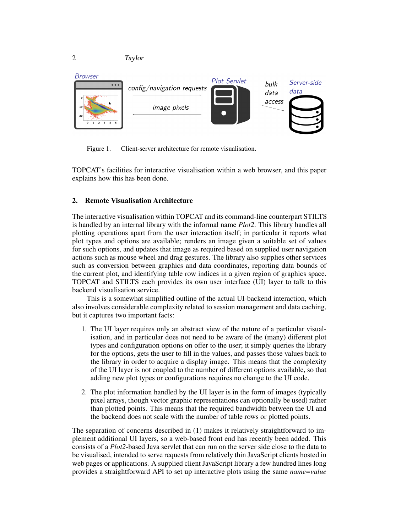



Figure 1. Client-server architecture for remote visualisation.

TOPCAT's facilities for interactive visualisation within a web browser, and this paper explains how this has been done.

# 2. Remote Visualisation Architecture

The interactive visualisation within TOPCAT and its command-line counterpart STILTS is handled by an internal library with the informal name *Plot2*. This library handles all plotting operations apart from the user interaction itself; in particular it reports what plot types and options are available; renders an image given a suitable set of values for such options, and updates that image as required based on supplied user navigation actions such as mouse wheel and drag gestures. The library also supplies other services such as conversion between graphics and data coordinates, reporting data bounds of the current plot, and identifying table row indices in a given region of graphics space. TOPCAT and STILTS each provides its own user interface (UI) layer to talk to this backend visualisation service.

This is a somewhat simplified outline of the actual UI-backend interaction, which also involves considerable complexity related to session management and data caching, but it captures two important facts:

- 1. The UI layer requires only an abstract view of the nature of a particular visualisation, and in particular does not need to be aware of the (many) different plot types and configuration options on offer to the user; it simply queries the library for the options, gets the user to fill in the values, and passes those values back to the library in order to acquire a display image. This means that the complexity of the UI layer is not coupled to the number of different options available, so that adding new plot types or configurations requires no change to the UI code.
- 2. The plot information handled by the UI layer is in the form of images (typically pixel arrays, though vector graphic representations can optionally be used) rather than plotted points. This means that the required bandwidth between the UI and the backend does not scale with the number of table rows or plotted points.

The separation of concerns described in (1) makes it relatively straightforward to implement additional UI layers, so a web-based front end has recently been added. This consists of a *Plot2*-based Java servlet that can run on the server side close to the data to be visualised, intended to serve requests from relatively thin JavaScript clients hosted in web pages or applications. A supplied client JavaScript library a few hundred lines long provides a straightforward API to set up interactive plots using the same *name*=*value*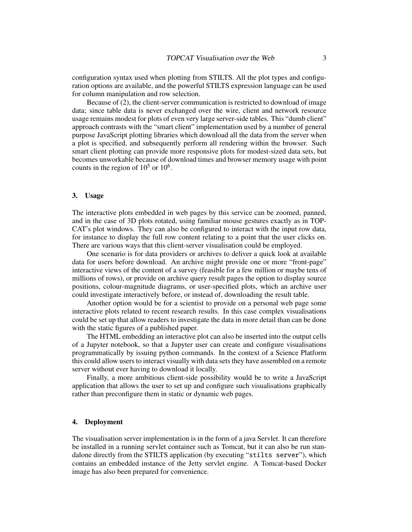configuration syntax used when plotting from STILTS. All the plot types and configuration options are available, and the powerful STILTS expression language can be used for column manipulation and row selection.

Because of (2), the client-server communication is restricted to download of image data; since table data is never exchanged over the wire, client and network resource usage remains modest for plots of even very large server-side tables. This "dumb client" approach contrasts with the "smart client" implementation used by a number of general purpose JavaScript plotting libraries which download all the data from the server when a plot is specified, and subsequently perform all rendering within the browser. Such smart client plotting can provide more responsive plots for modest-sized data sets, but becomes unworkable because of download times and browser memory usage with point counts in the region of  $10^5$  or  $10^6$ .

### 3. Usage

The interactive plots embedded in web pages by this service can be zoomed, panned, and in the case of 3D plots rotated, using familiar mouse gestures exactly as in TOP-CAT's plot windows. They can also be configured to interact with the input row data, for instance to display the full row content relating to a point that the user clicks on. There are various ways that this client-server visualisation could be employed.

One scenario is for data providers or archives to deliver a quick look at available data for users before download. An archive might provide one or more "front-page" interactive views of the content of a survey (feasible for a few million or maybe tens of millions of rows), or provide on archive query result pages the option to display source positions, colour-magnitude diagrams, or user-specified plots, which an archive user could investigate interactively before, or instead of, downloading the result table.

Another option would be for a scientist to provide on a personal web page some interactive plots related to recent research results. In this case complex visualisations could be set up that allow readers to investigate the data in more detail than can be done with the static figures of a published paper.

The HTML embedding an interactive plot can also be inserted into the output cells of a Jupyter notebook, so that a Jupyter user can create and configure visualisations programmatically by issuing python commands. In the context of a Science Platform this could allow users to interact visually with data sets they have assembled on a remote server without ever having to download it locally.

Finally, a more ambitious client-side possibility would be to write a JavaScript application that allows the user to set up and configure such visualisations graphically rather than preconfigure them in static or dynamic web pages.

## 4. Deployment

The visualisation server implementation is in the form of a java Servlet. It can therefore be installed in a running servlet container such as Tomcat, but it can also be run standalone directly from the STILTS application (by executing "stilts server"), which contains an embedded instance of the Jetty servlet engine. A Tomcat-based Docker image has also been prepared for convenience.